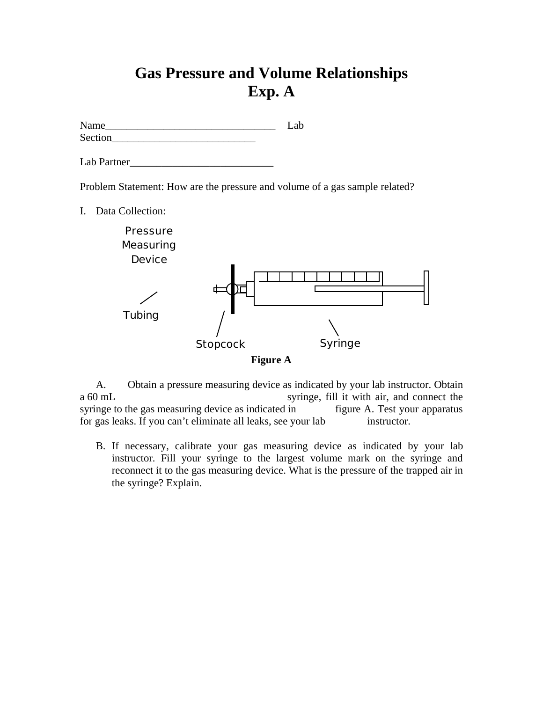## **Gas Pressure and Volume Relationships Exp. A**

| Name    | I ah |
|---------|------|
| Section |      |

Lab Partner

Problem Statement: How are the pressure and volume of a gas sample related?

I. Data Collection:



**Figure A**

A. Obtain a pressure measuring device as indicated by your lab instructor. Obtain a 60 mL syringe, fill it with air, and connect the syringe to the gas measuring device as indicated in figure A. Test your apparatus for gas leaks. If you can't eliminate all leaks, see your lab instructor.

B. If necessary, calibrate your gas measuring device as indicated by your lab instructor. Fill your syringe to the largest volume mark on the syringe and reconnect it to the gas measuring device. What is the pressure of the trapped air in the syringe? Explain.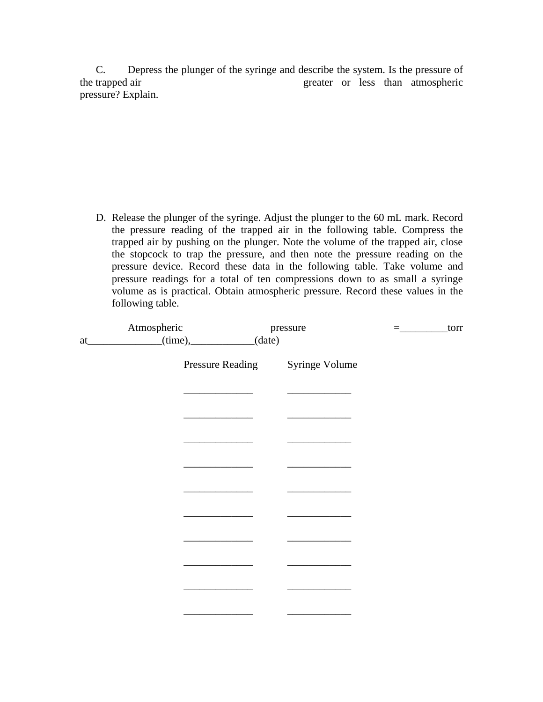C. Depress the plunger of the syringe and describe the system. Is the pressure of the trapped air greater or less than atmospheric pressure? Explain.

D. Release the plunger of the syringe. Adjust the plunger to the 60 mL mark. Record the pressure reading of the trapped air in the following table. Compress the trapped air by pushing on the plunger. Note the volume of the trapped air, close the stopcock to trap the pressure, and then note the pressure reading on the pressure device. Record these data in the following table. Take volume and pressure readings for a total of ten compressions down to as small a syringe volume as is practical. Obtain atmospheric pressure. Record these values in the following table.

| Atmospheric | at______________(time),___________(date)  | pressure                        | torr |
|-------------|-------------------------------------------|---------------------------------|------|
|             |                                           | Pressure Reading Syringe Volume |      |
|             | the company of the company of the company |                                 |      |
|             | _________________                         |                                 |      |
|             |                                           |                                 |      |
|             |                                           |                                 |      |
|             |                                           |                                 |      |
|             |                                           |                                 |      |
|             |                                           |                                 |      |
|             |                                           |                                 |      |
|             |                                           |                                 |      |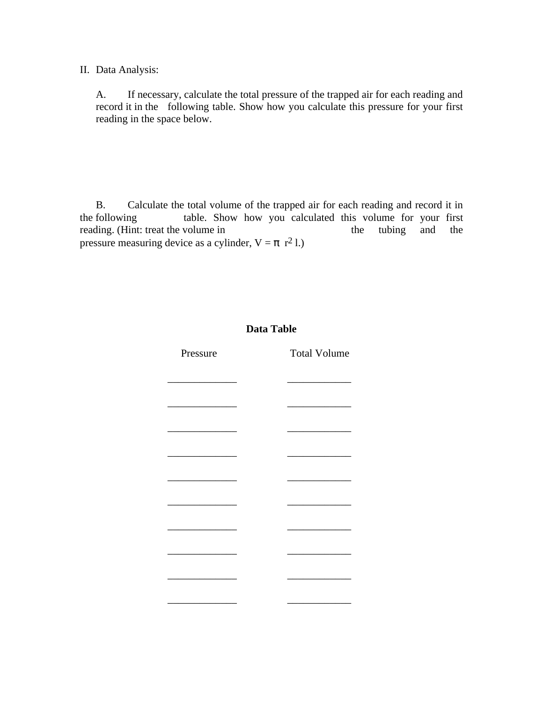## II. Data Analysis:

A. If necessary, calculate the total pressure of the trapped air for each reading and record it in the following table. Show how you calculate this pressure for your first reading in the space below.

B. Calculate the total volume of the trapped air for each reading and record it in the following table. Show how you calculated this volume for your first reading. (Hint: treat the volume in the tubing and the pressure measuring device as a cylinder,  $V = r^2 1$ .)

**Data Table**

| Pressure                      |  | <b>Total Volume</b> |  |  |
|-------------------------------|--|---------------------|--|--|
| the company of the company of |  |                     |  |  |
|                               |  |                     |  |  |
|                               |  |                     |  |  |
|                               |  |                     |  |  |
|                               |  |                     |  |  |
|                               |  |                     |  |  |
|                               |  |                     |  |  |
|                               |  |                     |  |  |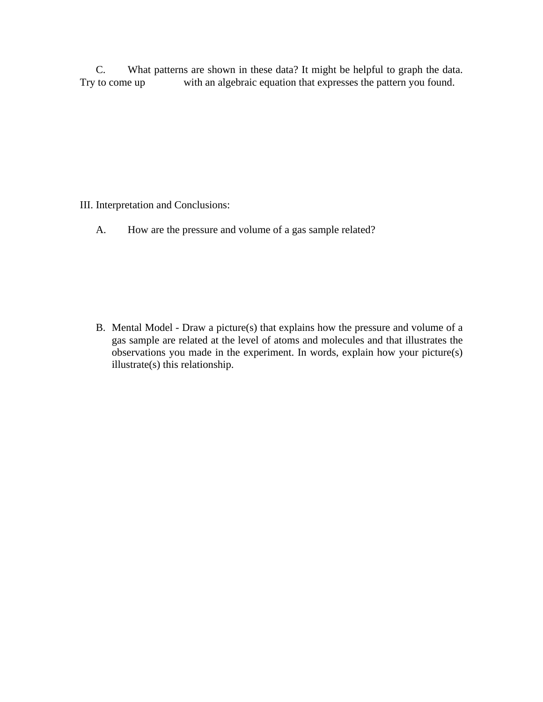C. What patterns are shown in these data? It might be helpful to graph the data. Try to come up with an algebraic equation that expresses the pattern you found.

III. Interpretation and Conclusions:

A. How are the pressure and volume of a gas sample related?

B. Mental Model - Draw a picture(s) that explains how the pressure and volume of a gas sample are related at the level of atoms and molecules and that illustrates the observations you made in the experiment. In words, explain how your picture(s) illustrate(s) this relationship.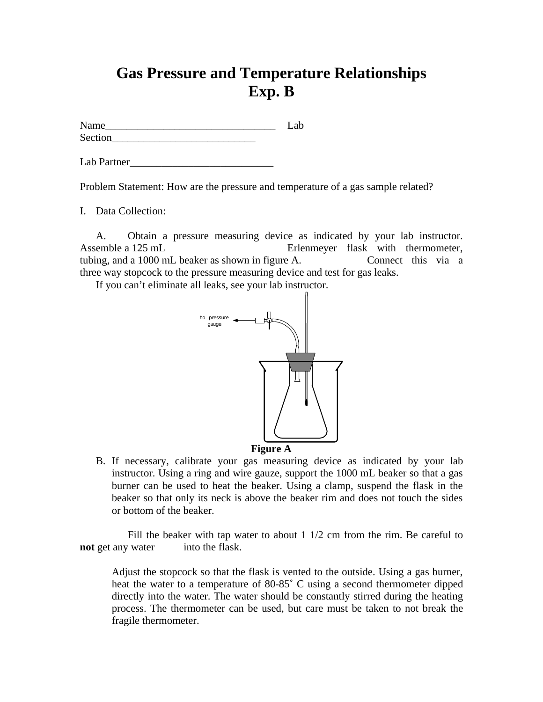## **Gas Pressure and Temperature Relationships Exp. B**

Name Lab Section

Lab Partner

Problem Statement: How are the pressure and temperature of a gas sample related?

I. Data Collection:

A. Obtain a pressure measuring device as indicated by your lab instructor. Assemble a 125 mL Erlenmeyer flask with thermometer, tubing, and a 1000 mL beaker as shown in figure A. Connect this via a three way stopcock to the pressure measuring device and test for gas leaks.

If you can't eliminate all leaks, see your lab instructor.





B. If necessary, calibrate your gas measuring device as indicated by your lab instructor. Using a ring and wire gauze, support the 1000 mL beaker so that a gas burner can be used to heat the beaker. Using a clamp, suspend the flask in the beaker so that only its neck is above the beaker rim and does not touch the sides or bottom of the beaker.

Fill the beaker with tap water to about 1  $1/2$  cm from the rim. Be careful to **not** get any water into the flask.

Adjust the stopcock so that the flask is vented to the outside. Using a gas burner, heat the water to a temperature of 80-85˚ C using a second thermometer dipped directly into the water. The water should be constantly stirred during the heating process. The thermometer can be used, but care must be taken to not break the fragile thermometer.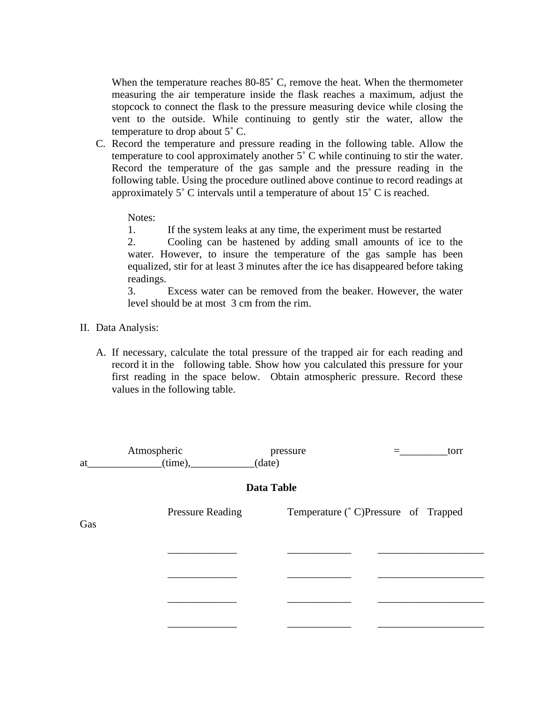When the temperature reaches 80-85° C, remove the heat. When the thermometer measuring the air temperature inside the flask reaches a maximum, adjust the stopcock to connect the flask to the pressure measuring device while closing the vent to the outside. While continuing to gently stir the water, allow the temperature to drop about 5˚ C.

C. Record the temperature and pressure reading in the following table. Allow the temperature to cool approximately another 5˚ C while continuing to stir the water. Record the temperature of the gas sample and the pressure reading in the following table. Using the procedure outlined above continue to record readings at approximately 5˚ C intervals until a temperature of about 15˚ C is reached.

Notes:

1. If the system leaks at any time, the experiment must be restarted

2. Cooling can be hastened by adding small amounts of ice to the water. However, to insure the temperature of the gas sample has been equalized, stir for at least 3 minutes after the ice has disappeared before taking readings.

3. Excess water can be removed from the beaker. However, the water level should be at most 3 cm from the rim.

- II. Data Analysis:
	- A. If necessary, calculate the total pressure of the trapped air for each reading and record it in the following table. Show how you calculated this pressure for your first reading in the space below. Obtain atmospheric pressure. Record these values in the following table.

| at                | Atmospheric<br>$\rule{1em}{0.15mm} (time),\n\rule{1em}{0.15mm}$ | (data) | pressure                            |  |  | torr |  |  |  |
|-------------------|-----------------------------------------------------------------|--------|-------------------------------------|--|--|------|--|--|--|
| <b>Data Table</b> |                                                                 |        |                                     |  |  |      |  |  |  |
| Gas               | <b>Pressure Reading</b>                                         |        | Temperature (°C)Pressure of Trapped |  |  |      |  |  |  |
|                   |                                                                 |        |                                     |  |  |      |  |  |  |
|                   |                                                                 |        |                                     |  |  |      |  |  |  |
|                   |                                                                 |        |                                     |  |  |      |  |  |  |
|                   |                                                                 |        |                                     |  |  |      |  |  |  |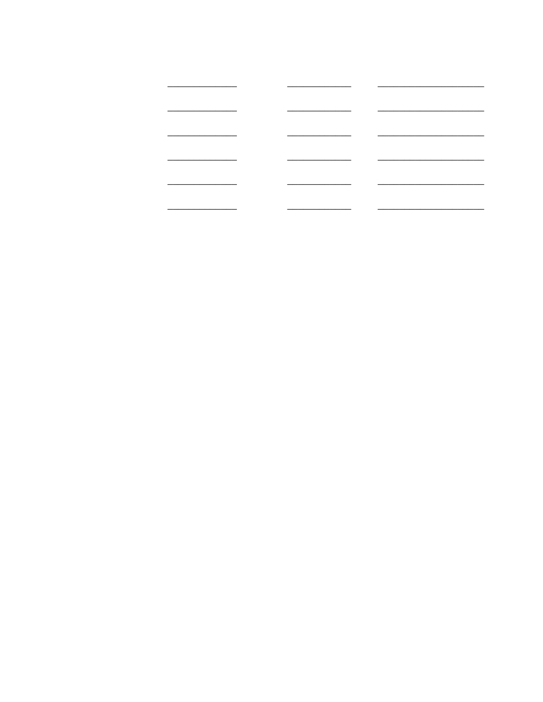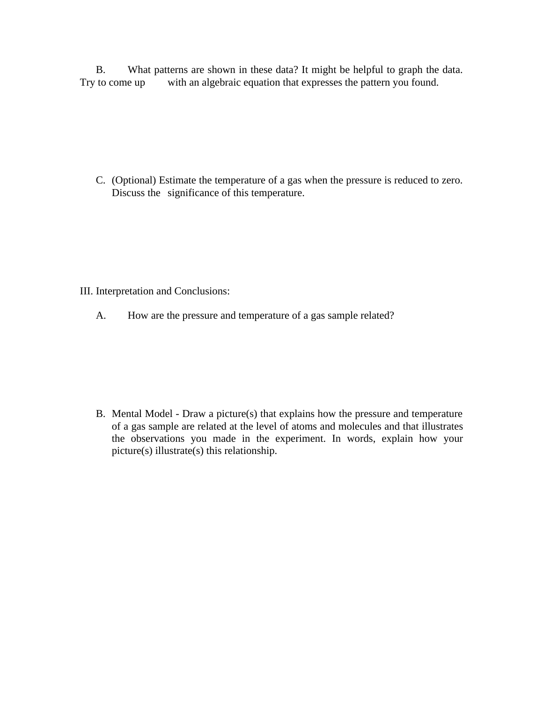B. What patterns are shown in these data? It might be helpful to graph the data. Try to come up with an algebraic equation that expresses the pattern you found.

C. (Optional) Estimate the temperature of a gas when the pressure is reduced to zero. Discuss the significance of this temperature.

III. Interpretation and Conclusions:

A. How are the pressure and temperature of a gas sample related?

B. Mental Model - Draw a picture(s) that explains how the pressure and temperature of a gas sample are related at the level of atoms and molecules and that illustrates the observations you made in the experiment. In words, explain how your picture(s) illustrate(s) this relationship.